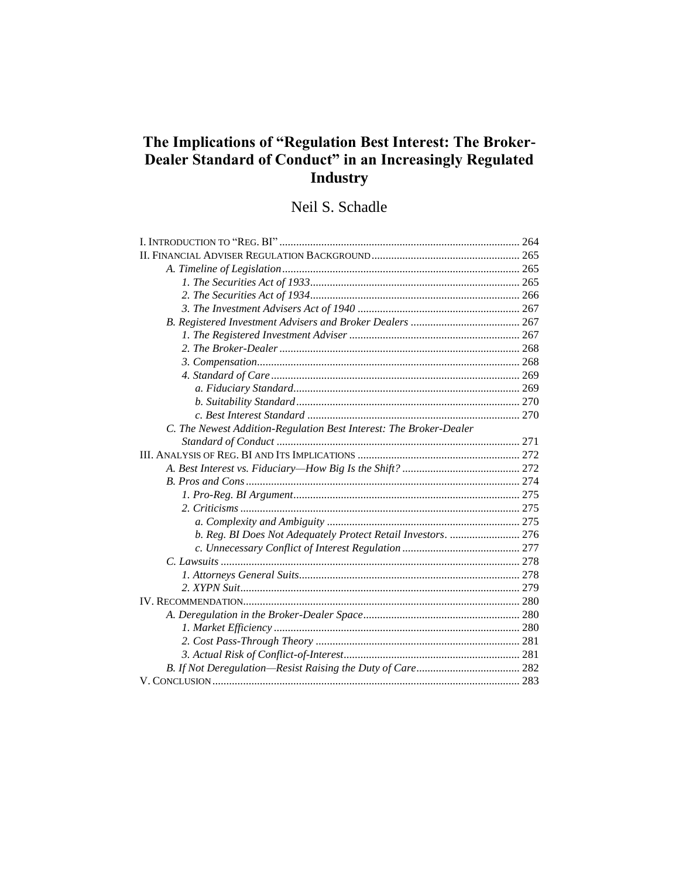# The Implications of "Regulation Best Interest: The Broker-Dealer Standard of Conduct" in an Increasingly Regulated **Industry**

# Neil S. Schadle

| C. The Newest Addition-Regulation Best Interest: The Broker-Dealer |  |
|--------------------------------------------------------------------|--|
|                                                                    |  |
|                                                                    |  |
|                                                                    |  |
|                                                                    |  |
|                                                                    |  |
|                                                                    |  |
|                                                                    |  |
| b. Reg. BI Does Not Adequately Protect Retail Investors.  276      |  |
|                                                                    |  |
|                                                                    |  |
|                                                                    |  |
|                                                                    |  |
|                                                                    |  |
|                                                                    |  |
|                                                                    |  |
|                                                                    |  |
|                                                                    |  |
|                                                                    |  |
|                                                                    |  |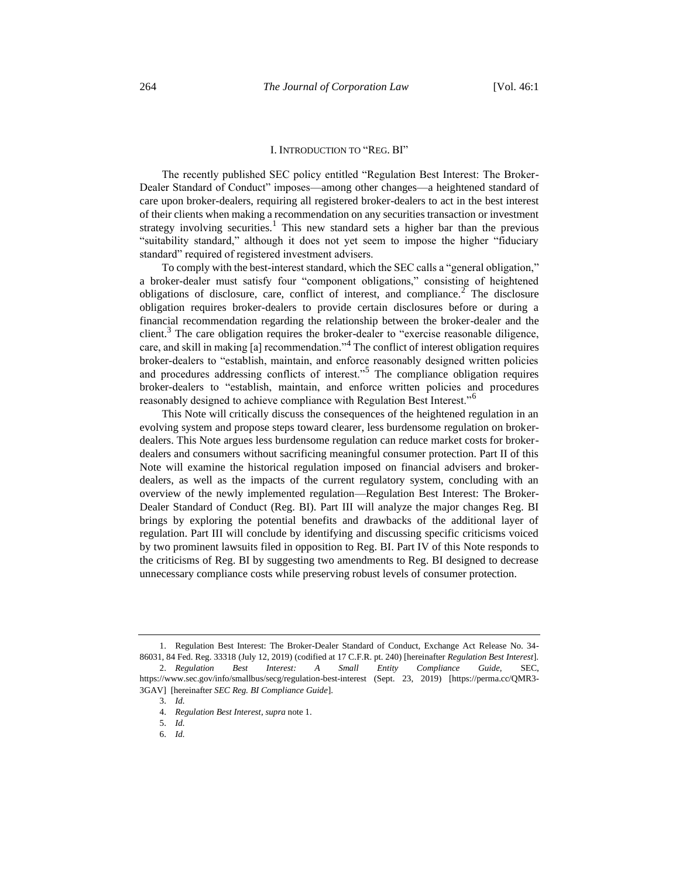#### <span id="page-1-1"></span><span id="page-1-0"></span>I. INTRODUCTION TO "REG. BI"

The recently published SEC policy entitled "Regulation Best Interest: The Broker-Dealer Standard of Conduct" imposes—among other changes—a heightened standard of care upon broker-dealers, requiring all registered broker-dealers to act in the best interest of their clients when making a recommendation on any securities transaction or investment strategy involving securities.<sup>1</sup> This new standard sets a higher bar than the previous "suitability standard," although it does not yet seem to impose the higher "fiduciary standard" required of registered investment advisers.

To comply with the best-interest standard, which the SEC calls a "general obligation," a broker-dealer must satisfy four "component obligations," consisting of heightened obligations of disclosure, care, conflict of interest, and compliance.<sup>2</sup> The disclosure obligation requires broker-dealers to provide certain disclosures before or during a financial recommendation regarding the relationship between the broker-dealer and the client.<sup>3</sup> The care obligation requires the broker-dealer to "exercise reasonable diligence, care, and skill in making [a] recommendation."<sup>4</sup> The conflict of interest obligation requires broker-dealers to "establish, maintain, and enforce reasonably designed written policies and procedures addressing conflicts of interest."<sup>5</sup> The compliance obligation requires broker-dealers to "establish, maintain, and enforce written policies and procedures reasonably designed to achieve compliance with Regulation Best Interest."<sup>6</sup>

This Note will critically discuss the consequences of the heightened regulation in an evolving system and propose steps toward clearer, less burdensome regulation on brokerdealers. This Note argues less burdensome regulation can reduce market costs for brokerdealers and consumers without sacrificing meaningful consumer protection. Part II of this Note will examine the historical regulation imposed on financial advisers and brokerdealers, as well as the impacts of the current regulatory system, concluding with an overview of the newly implemented regulation—Regulation Best Interest: The Broker-Dealer Standard of Conduct (Reg. BI). Part III will analyze the major changes Reg. BI brings by exploring the potential benefits and drawbacks of the additional layer of regulation. Part III will conclude by identifying and discussing specific criticisms voiced by two prominent lawsuits filed in opposition to Reg. BI. Part IV of this Note responds to the criticisms of Reg. BI by suggesting two amendments to Reg. BI designed to decrease unnecessary compliance costs while preserving robust levels of consumer protection.

<sup>1.</sup> Regulation Best Interest: The Broker-Dealer Standard of Conduct, Exchange Act Release No. 34- 86031, 84 Fed. Reg. 33318 (July 12, 2019) (codified at 17 C.F.R. pt. 240) [hereinafter *Regulation Best Interest*].

<sup>2.</sup> *Regulation Best Interest: A Small Entity Compliance Guide*, SEC, https://www.sec.gov/info/smallbus/secg/regulation-best-interest (Sept. 23, 2019) [https://perma.cc/QMR3- 3GAV] [hereinafter *SEC Reg. BI Compliance Guide*].

<sup>3.</sup> *Id.*

<sup>4.</sup> *Regulation Best Interest*, *supra* not[e 1.](#page-1-0) 5. *Id.*

<sup>6.</sup> *Id.*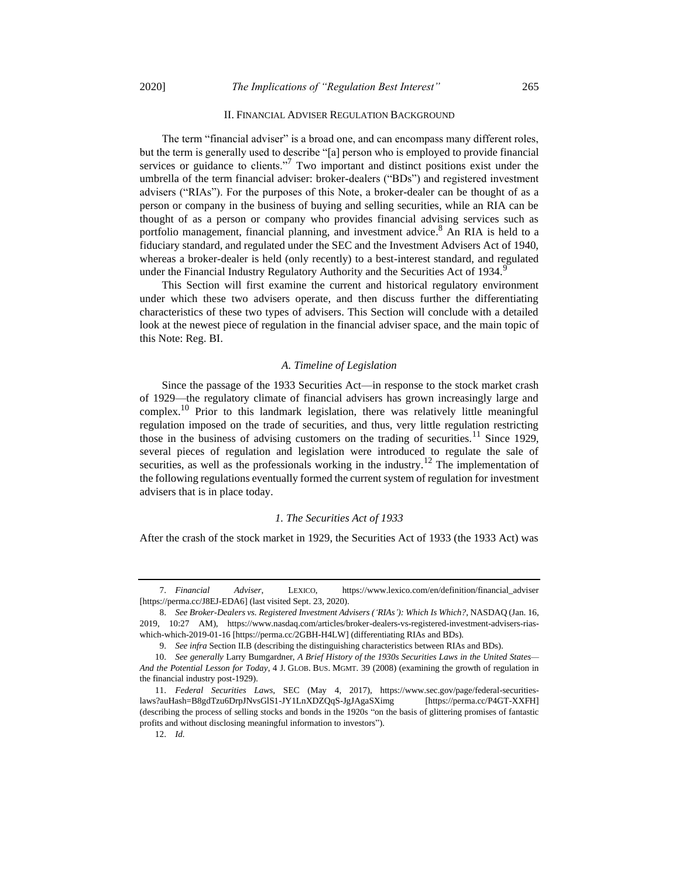# II. FINANCIAL ADVISER REGULATION BACKGROUND

The term "financial adviser" is a broad one, and can encompass many different roles, but the term is generally used to describe "[a] person who is employed to provide financial services or guidance to clients."<sup>7</sup> Two important and distinct positions exist under the umbrella of the term financial adviser: broker-dealers ("BDs") and registered investment advisers ("RIAs"). For the purposes of this Note, a broker-dealer can be thought of as a person or company in the business of buying and selling securities, while an RIA can be thought of as a person or company who provides financial advising services such as portfolio management, financial planning, and investment advice. <sup>8</sup> An RIA is held to a fiduciary standard, and regulated under the SEC and the Investment Advisers Act of 1940, whereas a broker-dealer is held (only recently) to a best-interest standard, and regulated under the Financial Industry Regulatory Authority and the Securities Act of 1934.

This Section will first examine the current and historical regulatory environment under which these two advisers operate, and then discuss further the differentiating characteristics of these two types of advisers. This Section will conclude with a detailed look at the newest piece of regulation in the financial adviser space, and the main topic of this Note: Reg. BI.

# <span id="page-2-0"></span>*A. Timeline of Legislation*

Since the passage of the 1933 Securities Act—in response to the stock market crash of 1929—the regulatory climate of financial advisers has grown increasingly large and complex.<sup>10</sup> Prior to this landmark legislation, there was relatively little meaningful regulation imposed on the trade of securities, and thus, very little regulation restricting those in the business of advising customers on the trading of securities.<sup>11</sup> Since 1929, several pieces of regulation and legislation were introduced to regulate the sale of securities, as well as the professionals working in the industry.<sup>12</sup> The implementation of the following regulations eventually formed the current system of regulation for investment advisers that is in place today.

#### *1. The Securities Act of 1933*

After the crash of the stock market in 1929, the Securities Act of 1933 (the 1933 Act) was

12. *Id.* 

<sup>7.</sup> *Financial Adviser*, LEXICO, https://www.lexico.com/en/definition/financial\_adviser [https://perma.cc/J8EJ-EDA6] (last visited Sept. 23, 2020).

<sup>8.</sup> *See Broker-Dealers vs. Registered Investment Advisers ('RIAs'): Which Is Which?*, NASDAQ (Jan. 16, 2019, 10:27 AM), https://www.nasdaq.com/articles/broker-dealers-vs-registered-investment-advisers-riaswhich-which-2019-01-16 [https://perma.cc/2GBH-H4LW] (differentiating RIAs and BDs).

<sup>9.</sup> *See infra* Section II.B (describing the distinguishing characteristics between RIAs and BDs).

<sup>10.</sup> *See generally* Larry Bumgardner, *A Brief History of the 1930s Securities Laws in the United States— And the Potential Lesson for Today*, 4 J. GLOB. BUS. MGMT. 39 (2008) (examining the growth of regulation in the financial industry post-1929).

<sup>11.</sup> *Federal Securities Laws*, SEC (May 4, 2017), https://www.sec.gov/page/federal-securitieslaws?auHash=B8gdTzu6DrpJNvsGlS1-JY1LnXDZQqS-JgJAgaSXimg [https://perma.cc/P4GT-XXFH] (describing the process of selling stocks and bonds in the 1920s "on the basis of glittering promises of fantastic profits and without disclosing meaningful information to investors").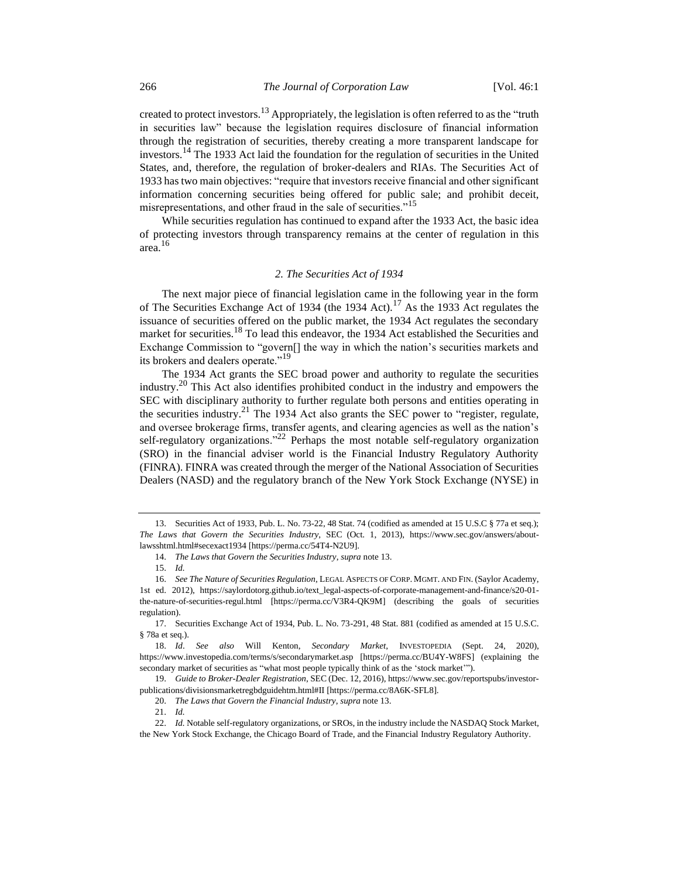<span id="page-3-0"></span>created to protect investors.<sup>13</sup> Appropriately, the legislation is often referred to as the "truth in securities law" because the legislation requires disclosure of financial information through the registration of securities, thereby creating a more transparent landscape for investors.<sup>14</sup> The 1933 Act laid the foundation for the regulation of securities in the United States, and, therefore, the regulation of broker-dealers and RIAs. The Securities Act of 1933 has two main objectives: "require that investors receive financial and other significant information concerning securities being offered for public sale; and prohibit deceit, misrepresentations, and other fraud in the sale of securities."<sup>15</sup>

While securities regulation has continued to expand after the 1933 Act, the basic idea of protecting investors through transparency remains at the center of regulation in this area.<sup>16</sup>

# <span id="page-3-1"></span>*2. The Securities Act of 1934*

The next major piece of financial legislation came in the following year in the form of The Securities Exchange Act of 1934 (the 1934 Act).<sup>17</sup> As the 1933 Act regulates the issuance of securities offered on the public market, the 1934 Act regulates the secondary market for securities.<sup>18</sup> To lead this endeavor, the 1934 Act established the Securities and Exchange Commission to "govern[] the way in which the nation's securities markets and its brokers and dealers operate."<sup>19</sup>

The 1934 Act grants the SEC broad power and authority to regulate the securities industry.<sup>20</sup> This Act also identifies prohibited conduct in the industry and empowers the SEC with disciplinary authority to further regulate both persons and entities operating in the securities industry.<sup>21</sup> The 1934 Act also grants the SEC power to "register, regulate, and oversee brokerage firms, transfer agents, and clearing agencies as well as the nation's self-regulatory organizations."<sup>22</sup> Perhaps the most notable self-regulatory organization (SRO) in the financial adviser world is the Financial Industry Regulatory Authority (FINRA). FINRA was created through the merger of the National Association of Securities Dealers (NASD) and the regulatory branch of the New York Stock Exchange (NYSE) in

<sup>13.</sup> Securities Act of 1933, Pub. L. No. 73-22, 48 Stat. 74 (codified as amended at 15 U.S.C § 77a et seq.); *The Laws that Govern the Securities Industry*, SEC (Oct. 1, 2013), https://www.sec.gov/answers/aboutlawsshtml.html#secexact1934 [https://perma.cc/54T4-N2U9].

<sup>14.</sup> *The Laws that Govern the Securities Industry*, *supra* not[e 13.](#page-3-0)

<sup>15.</sup> *Id.*

<sup>16.</sup> *See The Nature of Securities Regulation*, LEGAL ASPECTS OF CORP. MGMT. AND FIN. (Saylor Academy,

<sup>1</sup>st ed. 2012), https://saylordotorg.github.io/text\_legal-aspects-of-corporate-management-and-finance/s20-01 the-nature-of-securities-regul.html [https://perma.cc/V3R4-QK9M] (describing the goals of securities regulation).

<sup>17.</sup> Securities Exchange Act of 1934, Pub. L. No. 73-291, 48 Stat. 881 (codified as amended at 15 U.S.C. § 78a et seq.).

<sup>18.</sup> *Id*. *See also* Will Kenton, *Secondary Market*, INVESTOPEDIA (Sept. 24, 2020), https://www.investopedia.com/terms/s/secondarymarket.asp [https://perma.cc/BU4Y-W8FS] (explaining the secondary market of securities as "what most people typically think of as the 'stock market'").

<sup>19.</sup> *Guide to Broker-Dealer Registration*, SEC (Dec. 12, 2016), https://www.sec.gov/reportspubs/investorpublications/divisionsmarketregbdguidehtm.html#II [https://perma.cc/8A6K-SFL8].

<sup>20.</sup> *The Laws that Govern the Financial Industry*, *supra* not[e 13.](#page-3-0)

<sup>21.</sup> *Id.*

<sup>22.</sup> *Id.* Notable self-regulatory organizations, or SROs, in the industry include the NASDAQ Stock Market,

the New York Stock Exchange, the Chicago Board of Trade, and the Financial Industry Regulatory Authority.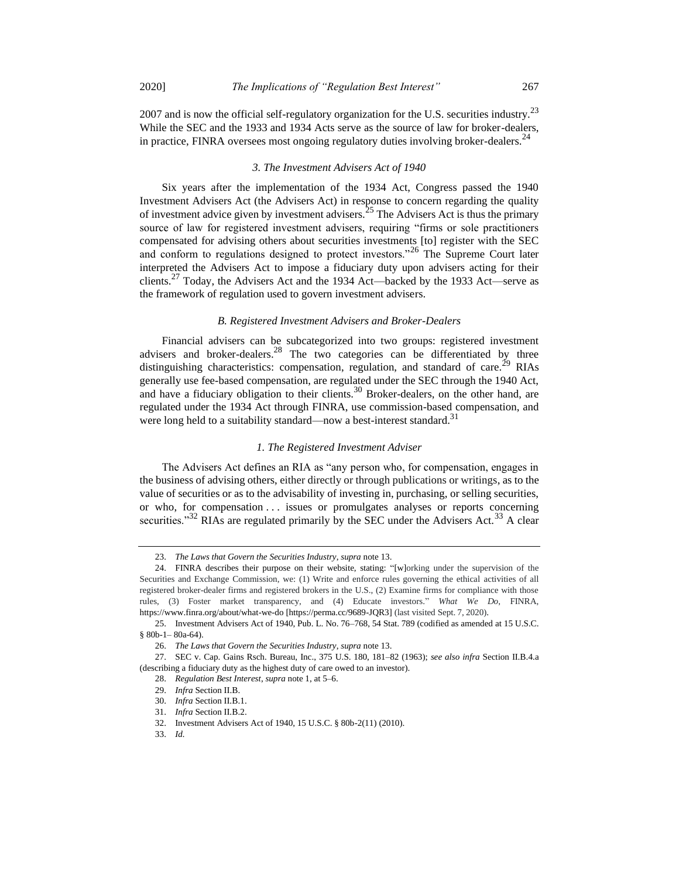2007 and is now the official self-regulatory organization for the U.S. securities industry.<sup>23</sup> While the SEC and the 1933 and 1934 Acts serve as the source of law for broker-dealers, in practice, FINRA oversees most ongoing regulatory duties involving broker-dealers.<sup>24</sup>

# *3. The Investment Advisers Act of 1940*

Six years after the implementation of the 1934 Act, Congress passed the 1940 Investment Advisers Act (the Advisers Act) in response to concern regarding the quality of investment advice given by investment advisers.<sup>25</sup> The Advisers Act is thus the primary source of law for registered investment advisers, requiring "firms or sole practitioners compensated for advising others about securities investments [to] register with the SEC and conform to regulations designed to protect investors."<sup>26</sup> The Supreme Court later interpreted the Advisers Act to impose a fiduciary duty upon advisers acting for their clients.<sup>27</sup> Today, the Advisers Act and the 1934 Act—backed by the 1933 Act—serve as the framework of regulation used to govern investment advisers.

#### *B. Registered Investment Advisers and Broker-Dealers*

Financial advisers can be subcategorized into two groups: registered investment advisers and broker-dealers.<sup>28</sup> The two categories can be differentiated by three distinguishing characteristics: compensation, regulation, and standard of care.<sup>29</sup> RIAs generally use fee-based compensation, are regulated under the SEC through the 1940 Act, and have a fiduciary obligation to their clients.<sup>30</sup> Broker-dealers, on the other hand, are regulated under the 1934 Act through FINRA, use commission-based compensation, and were long held to a suitability standard—now a best-interest standard.<sup>31</sup>

#### *1. The Registered Investment Adviser*

The Advisers Act defines an RIA as "any person who, for compensation, engages in the business of advising others, either directly or through publications or writings, as to the value of securities or as to the advisability of investing in, purchasing, or selling securities, or who, for compensation . . . issues or promulgates analyses or reports concerning securities." $32$  RIAs are regulated primarily by the SEC under the Advisers Act.  $33$  A clear

<sup>23.</sup> *The Laws that Govern the Securities Industry*, *supra* not[e 13.](#page-3-0)

<sup>24.</sup> FINRA describes their purpose on their website, stating: "[w]orking under the supervision of the Securities and Exchange Commission, we: (1) Write and enforce rules governing the ethical activities of all registered broker-dealer firms and registered brokers in the U.S., (2) Examine firms for compliance with those rules, (3) Foster market transparency, and (4) Educate investors." *What We Do*, FINRA, https://www.finra.org/about/what-we-do [https://perma.cc/9689-JQR3] (last visited Sept. 7, 2020).

<sup>25.</sup> Investment Advisers Act of 1940, Pub. L. No. 76–768, 54 Stat. 789 (codified as amended at 15 U.S.C. § 80b-1– 80a-64).

<sup>26.</sup> *The Laws that Govern the Securities Industry*, *supra* not[e 13.](#page-3-0) 

<sup>27.</sup> SEC v. Cap. Gains Rsch. Bureau, Inc., 375 U.S. 180, 181–82 (1963); *see also infra* Section II.B.4.a (describing a fiduciary duty as the highest duty of care owed to an investor).

<sup>28.</sup> *Regulation Best Interest*, *supra* not[e 1,](#page-1-0) at 5–6.

<sup>29.</sup> *Infra* Section II.B.

<sup>30.</sup> *Infra* Section II.B.1.

<sup>31.</sup> *Infra* Section II.B.2.

<sup>32.</sup> Investment Advisers Act of 1940, 15 U.S.C. § 80b-2(11) (2010).

<sup>33.</sup> *Id.*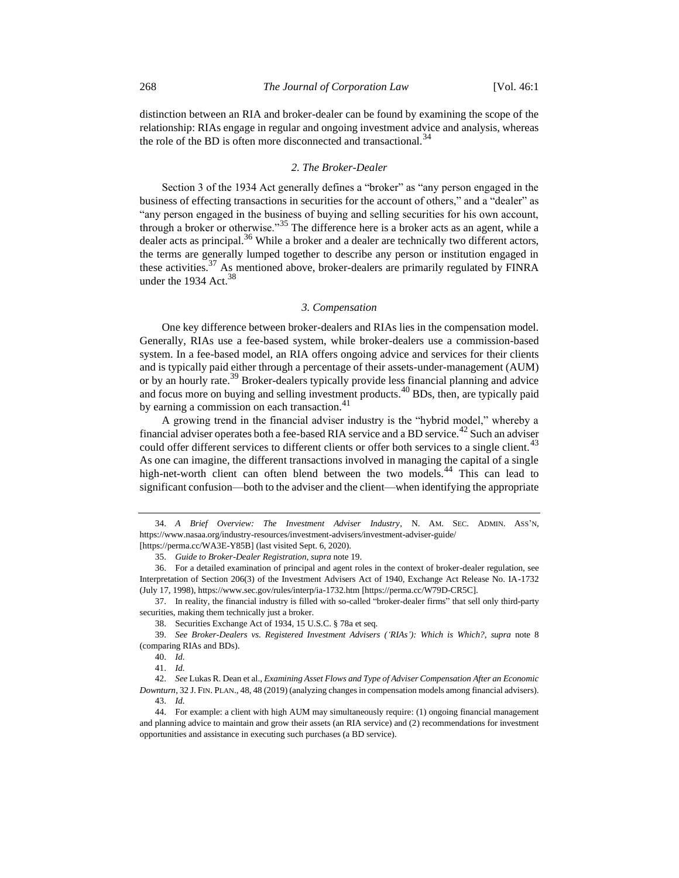distinction between an RIA and broker-dealer can be found by examining the scope of the relationship: RIAs engage in regular and ongoing investment advice and analysis, whereas the role of the BD is often more disconnected and transactional.<sup>34</sup>

# *2. The Broker-Dealer*

Section 3 of the 1934 Act generally defines a "broker" as "any person engaged in the business of effecting transactions in securities for the account of others," and a "dealer" as "any person engaged in the business of buying and selling securities for his own account, through a broker or otherwise.<sup>335</sup> The difference here is a broker acts as an agent, while a dealer acts as principal.<sup>36</sup> While a broker and a dealer are technically two different actors, the terms are generally lumped together to describe any person or institution engaged in these activities. $37$  As mentioned above, broker-dealers are primarily regulated by FINRA under the 1934 Act.<sup>38</sup>

#### <span id="page-5-0"></span>*3. Compensation*

One key difference between broker-dealers and RIAs lies in the compensation model. Generally, RIAs use a fee-based system, while broker-dealers use a commission-based system. In a fee-based model, an RIA offers ongoing advice and services for their clients and is typically paid either through a percentage of their assets-under-management (AUM) or by an hourly rate.<sup>39</sup> Broker-dealers typically provide less financial planning and advice and focus more on buying and selling investment products.<sup>40</sup> BDs, then, are typically paid by earning a commission on each transaction. $41$ 

A growing trend in the financial adviser industry is the "hybrid model," whereby a financial adviser operates both a fee-based RIA service and a BD service.<sup>42</sup> Such an adviser could offer different services to different clients or offer both services to a single client.<sup>43</sup> As one can imagine, the different transactions involved in managing the capital of a single high-net-worth client can often blend between the two models.<sup>44</sup> This can lead to significant confusion—both to the adviser and the client—when identifying the appropriate

37. In reality, the financial industry is filled with so-called "broker-dealer firms" that sell only third-party securities, making them technically just a broker.

<sup>34.</sup> *A Brief Overview: The Investment Adviser Industry*, N. AM. SEC. ADMIN. ASS'N, https://www.nasaa.org/industry-resources/investment-advisers/investment-adviser-guide/ [https://perma.cc/WA3E-Y85B] (last visited Sept. 6, 2020).

<sup>35.</sup> *Guide to Broker-Dealer Registration*, *supra* not[e 19.](#page-3-1) 

<sup>36.</sup> For a detailed examination of principal and agent roles in the context of broker-dealer regulation, see Interpretation of Section 206(3) of the Investment Advisers Act of 1940, Exchange Act Release No. IA-1732 (July 17, 1998), https://www.sec.gov/rules/interp/ia-1732.htm [https://perma.cc/W79D-CR5C].

<sup>38.</sup> Securities Exchange Act of 1934, 15 U.S.C. § 78a et seq.

<sup>39.</sup> *See Broker-Dealers vs. Registered Investment Advisers ('RIAs'): Which is Which?*, *supra* note [8](#page-2-0) (comparing RIAs and BDs).

<sup>40.</sup> *Id.*

<sup>41.</sup> *Id.*

<sup>42.</sup> *See* Lukas R. Dean et al., *Examining Asset Flows and Type of Adviser Compensation After an Economic Downturn*, 32 J. FIN. PLAN., 48, 48 (2019) (analyzing changes in compensation models among financial advisers). 43. *Id.*

<sup>44.</sup> For example: a client with high AUM may simultaneously require: (1) ongoing financial management and planning advice to maintain and grow their assets (an RIA service) and (2) recommendations for investment opportunities and assistance in executing such purchases (a BD service).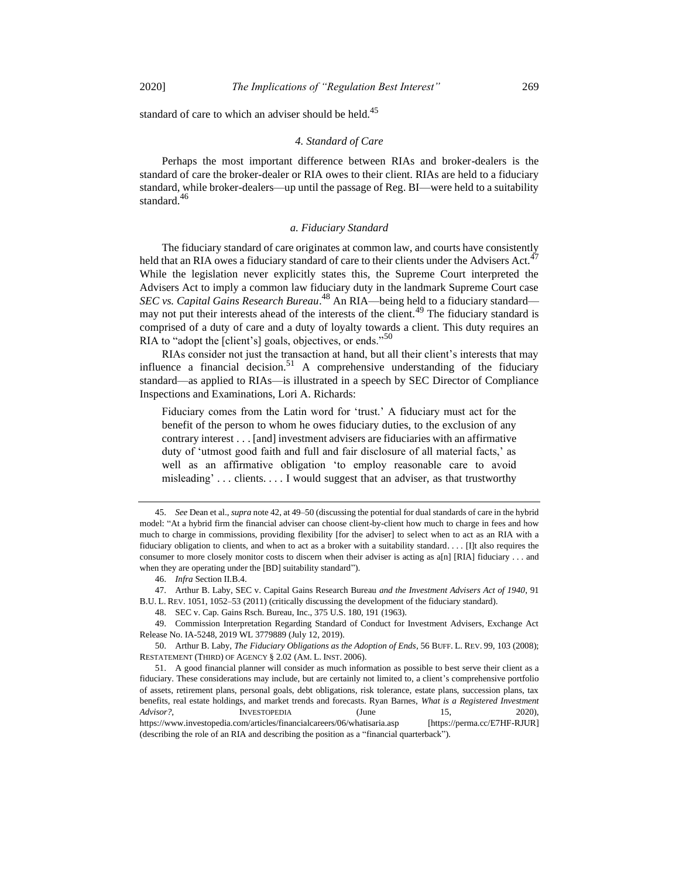standard of care to which an adviser should be held.<sup>45</sup>

# *4. Standard of Care*

Perhaps the most important difference between RIAs and broker-dealers is the standard of care the broker-dealer or RIA owes to their client. RIAs are held to a fiduciary standard, while broker-dealers—up until the passage of Reg. BI—were held to a suitability standard.<sup>46</sup>

#### *a. Fiduciary Standard*

The fiduciary standard of care originates at common law, and courts have consistently held that an RIA owes a fiduciary standard of care to their clients under the Advisers Act.<sup>47</sup> While the legislation never explicitly states this, the Supreme Court interpreted the Advisers Act to imply a common law fiduciary duty in the landmark Supreme Court case *SEC vs. Capital Gains Research Bureau*. <sup>48</sup> An RIA—being held to a fiduciary standard may not put their interests ahead of the interests of the client.<sup>49</sup> The fiduciary standard is comprised of a duty of care and a duty of loyalty towards a client. This duty requires an RIA to "adopt the [client's] goals, objectives, or ends."<sup>50</sup>

RIAs consider not just the transaction at hand, but all their client's interests that may influence a financial decision.<sup>51</sup> A comprehensive understanding of the fiduciary standard—as applied to RIAs—is illustrated in a speech by SEC Director of Compliance Inspections and Examinations, Lori A. Richards:

Fiduciary comes from the Latin word for 'trust.' A fiduciary must act for the benefit of the person to whom he owes fiduciary duties, to the exclusion of any contrary interest . . . [and] investment advisers are fiduciaries with an affirmative duty of 'utmost good faith and full and fair disclosure of all material facts,' as well as an affirmative obligation 'to employ reasonable care to avoid misleading' . . . clients. . . . I would suggest that an adviser, as that trustworthy

<sup>45.</sup> *See* Dean et al., *supra* not[e 42,](#page-5-0) at 49–50 (discussing the potential for dual standards of care in the hybrid model: "At a hybrid firm the financial adviser can choose client-by-client how much to charge in fees and how much to charge in commissions, providing flexibility [for the adviser] to select when to act as an RIA with a fiduciary obligation to clients, and when to act as a broker with a suitability standard. . . . [I]t also requires the consumer to more closely monitor costs to discern when their adviser is acting as a[n] [RIA] fiduciary . . . and when they are operating under the [BD] suitability standard").

<sup>46.</sup> *Infra* Section II.B.4.

<sup>47.</sup> Arthur B. Laby, SEC v. Capital Gains Research Bureau *and the Investment Advisers Act of 1940*, 91 B.U. L. REV. 1051, 1052–53 (2011) (critically discussing the development of the fiduciary standard).

<sup>48.</sup> SEC v. Cap. Gains Rsch. Bureau, Inc., 375 U.S. 180, 191 (1963).

<sup>49.</sup> Commission Interpretation Regarding Standard of Conduct for Investment Advisers, Exchange Act Release No. IA-5248, 2019 WL 3779889 (July 12, 2019).

<sup>50.</sup> Arthur B. Laby, *The Fiduciary Obligations as the Adoption of Ends*, 56 BUFF. L. REV. 99, 103 (2008); RESTATEMENT (THIRD) OF AGENCY § 2.02 (AM. L. INST. 2006).

<sup>51.</sup> A good financial planner will consider as much information as possible to best serve their client as a fiduciary. These considerations may include, but are certainly not limited to, a client's comprehensive portfolio of assets, retirement plans, personal goals, debt obligations, risk tolerance, estate plans, succession plans, tax benefits, real estate holdings, and market trends and forecasts. Ryan Barnes, *What is a Registered Investment Advisor?*, INVESTOPEDIA (June 15, 2020), https://www.investopedia.com/articles/financialcareers/06/whatisaria.asp [https://perma.cc/E7HF-RJUR] (describing the role of an RIA and describing the position as a "financial quarterback").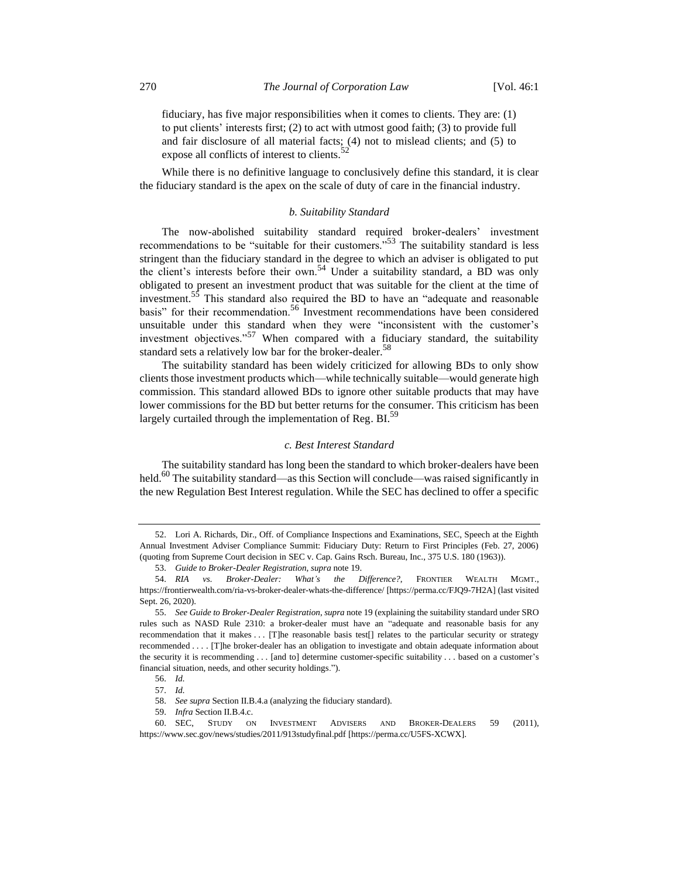fiduciary, has five major responsibilities when it comes to clients. They are: (1) to put clients' interests first; (2) to act with utmost good faith; (3) to provide full and fair disclosure of all material facts; (4) not to mislead clients; and (5) to expose all conflicts of interest to clients. $52$ 

While there is no definitive language to conclusively define this standard, it is clear the fiduciary standard is the apex on the scale of duty of care in the financial industry.

# *b. Suitability Standard*

The now-abolished suitability standard required broker-dealers' investment recommendations to be "suitable for their customers."<sup>53</sup> The suitability standard is less stringent than the fiduciary standard in the degree to which an adviser is obligated to put the client's interests before their own.<sup>54</sup> Under a suitability standard, a BD was only obligated to present an investment product that was suitable for the client at the time of investment.<sup>55</sup> This standard also required the BD to have an "adequate and reasonable basis" for their recommendation.<sup>56</sup> Investment recommendations have been considered unsuitable under this standard when they were "inconsistent with the customer's investment objectives."<sup>57</sup> When compared with a fiduciary standard, the suitability standard sets a relatively low bar for the broker-dealer.<sup>58</sup>

The suitability standard has been widely criticized for allowing BDs to only show clients those investment products which—while technically suitable—would generate high commission. This standard allowed BDs to ignore other suitable products that may have lower commissions for the BD but better returns for the consumer. This criticism has been largely curtailed through the implementation of Reg. BI.<sup>59</sup>

# *c. Best Interest Standard*

The suitability standard has long been the standard to which broker-dealers have been held.<sup>60</sup> The suitability standard—as this Section will conclude—was raised significantly in the new Regulation Best Interest regulation. While the SEC has declined to offer a specific

<sup>52.</sup> Lori A. Richards, Dir., Off. of Compliance Inspections and Examinations, SEC, Speech at the Eighth Annual Investment Adviser Compliance Summit: Fiduciary Duty: Return to First Principles (Feb. 27, 2006) (quoting from Supreme Court decision in SEC v. Cap. Gains Rsch. Bureau, Inc., 375 U.S. 180 (1963)).

<sup>53.</sup> *Guide to Broker-Dealer Registration*, *supra* not[e 19.](#page-3-1)

<sup>54.</sup> *RIA vs. Broker-Dealer: What's the Difference?*, FRONTIER WEALTH MGMT., https://frontierwealth.com/ria-vs-broker-dealer-whats-the-difference/ [https://perma.cc/FJQ9-7H2A] (last visited Sept. 26, 2020).

<sup>55.</sup> *See Guide to Broker-Dealer Registration*, *supra* not[e 19](#page-3-1) (explaining the suitability standard under SRO rules such as NASD Rule 2310: a broker-dealer must have an "adequate and reasonable basis for any recommendation that it makes . . . [T]he reasonable basis test[] relates to the particular security or strategy recommended . . . . [T]he broker-dealer has an obligation to investigate and obtain adequate information about the security it is recommending . . . [and to] determine customer-specific suitability . . . based on a customer's financial situation, needs, and other security holdings.").

<sup>56.</sup> *Id.*

<sup>57.</sup> *Id.*

<sup>58.</sup> *See supra* Section II.B.4.a (analyzing the fiduciary standard).

<sup>59.</sup> *Infra* Section II.B.4.c.

<sup>60.</sup> SEC, STUDY ON INVESTMENT ADVISERS AND BROKER-DEALERS 59 (2011), https://www.sec.gov/news/studies/2011/913studyfinal.pdf [https://perma.cc/U5FS-XCWX].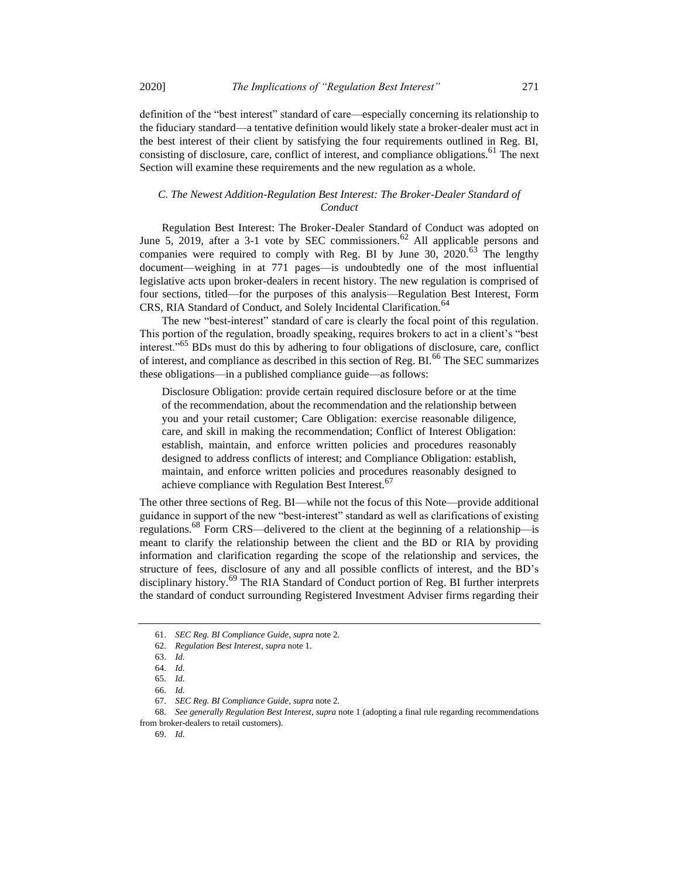definition of the "best interest" standard of care—especially concerning its relationship to the fiduciary standard—a tentative definition would likely state a broker-dealer must act in the best interest of their client by satisfying the four requirements outlined in Reg. BI, consisting of disclosure, care, conflict of interest, and compliance obligations.<sup>61</sup> The next Section will examine these requirements and the new regulation as a whole.

# *C. The Newest Addition-Regulation Best Interest: The Broker-Dealer Standard of Conduct*

Regulation Best Interest: The Broker-Dealer Standard of Conduct was adopted on June 5, 2019, after a 3-1 vote by SEC commissioners.<sup>62</sup> All applicable persons and companies were required to comply with Reg. BI by June  $30, 2020$ .<sup>63</sup> The lengthy document—weighing in at 771 pages—is undoubtedly one of the most influential legislative acts upon broker-dealers in recent history. The new regulation is comprised of four sections, titled—for the purposes of this analysis—Regulation Best Interest, Form CRS, RIA Standard of Conduct, and Solely Incidental Clarification.<sup>64</sup>

The new "best-interest" standard of care is clearly the focal point of this regulation. This portion of the regulation, broadly speaking, requires brokers to act in a client's "best interest."<sup>65</sup> BDs must do this by adhering to four obligations of disclosure, care, conflict of interest, and compliance as described in this section of Reg. BI.<sup>66</sup> The SEC summarizes these obligations—in a published compliance guide—as follows:

Disclosure Obligation: provide certain required disclosure before or at the time of the recommendation, about the recommendation and the relationship between you and your retail customer; Care Obligation: exercise reasonable diligence, care, and skill in making the recommendation; Conflict of Interest Obligation: establish, maintain, and enforce written policies and procedures reasonably designed to address conflicts of interest; and Compliance Obligation: establish, maintain, and enforce written policies and procedures reasonably designed to achieve compliance with Regulation Best Interest.<sup>67</sup>

The other three sections of Reg. BI—while not the focus of this Note—provide additional guidance in support of the new "best-interest" standard as well as clarifications of existing regulations.<sup>68</sup> Form CRS—delivered to the client at the beginning of a relationship—is meant to clarify the relationship between the client and the BD or RIA by providing information and clarification regarding the scope of the relationship and services, the structure of fees, disclosure of any and all possible conflicts of interest, and the BD's disciplinary history.<sup>69</sup> The RIA Standard of Conduct portion of Reg. BI further interprets the standard of conduct surrounding Registered Investment Adviser firms regarding their

<sup>61.</sup> *SEC Reg. BI Compliance Guide*, *supra* not[e 2.](#page-1-1)

<sup>62.</sup> *Regulation Best Interest*, *supra* not[e 1.](#page-1-0)

<sup>63.</sup> *Id.*

<sup>64.</sup> *Id.*

<sup>65.</sup> *Id.*

<sup>66.</sup> *Id.*

<sup>67.</sup> *SEC Reg. BI Compliance Guide*, *supra* not[e 2.](#page-1-1)

<sup>68.</sup> *See generally Regulation Best Interest*, *supra* not[e 1](#page-1-0) (adopting a final rule regarding recommendations from broker-dealers to retail customers).

<sup>69.</sup> *Id.*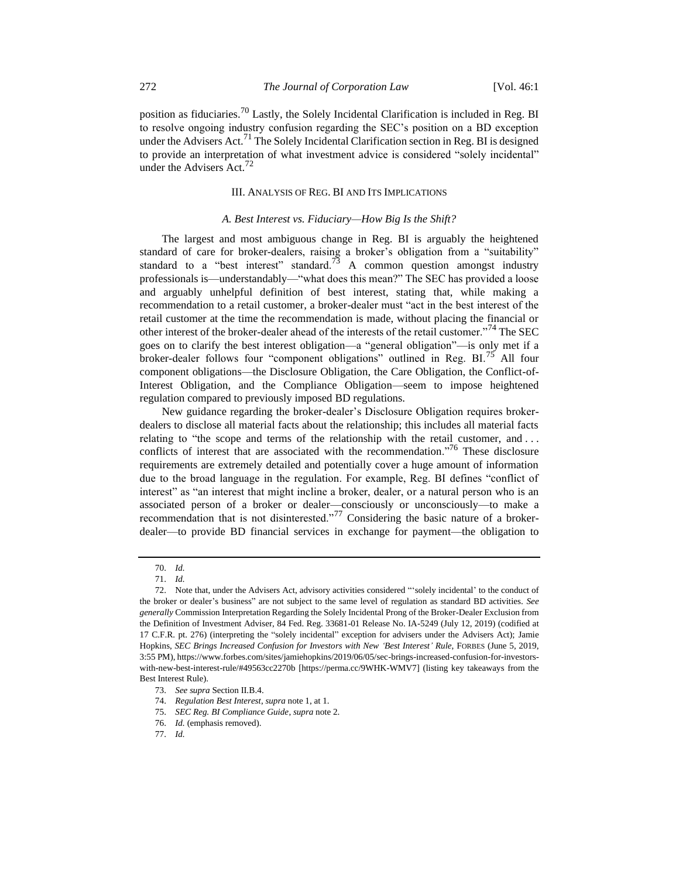position as fiduciaries.<sup>70</sup> Lastly, the Solely Incidental Clarification is included in Reg. BI to resolve ongoing industry confusion regarding the SEC's position on a BD exception under the Advisers Act.<sup>71</sup> The Solely Incidental Clarification section in Reg. BI is designed to provide an interpretation of what investment advice is considered "solely incidental" under the Advisers Act. $^{72}$ 

### III. ANALYSIS OF REG. BI AND ITS IMPLICATIONS

# *A. Best Interest vs. Fiduciary—How Big Is the Shift?*

The largest and most ambiguous change in Reg. BI is arguably the heightened standard of care for broker-dealers, raising a broker's obligation from a "suitability" standard to a "best interest" standard.<sup>73</sup> A common question amongst industry professionals is—understandably—"what does this mean?" The SEC has provided a loose and arguably unhelpful definition of best interest, stating that, while making a recommendation to a retail customer, a broker-dealer must "act in the best interest of the retail customer at the time the recommendation is made, without placing the financial or other interest of the broker-dealer ahead of the interests of the retail customer."<sup>74</sup> The SEC goes on to clarify the best interest obligation—a "general obligation"—is only met if a broker-dealer follows four "component obligations" outlined in Reg. BI.<sup>75</sup> All four component obligations—the Disclosure Obligation, the Care Obligation, the Conflict-of-Interest Obligation, and the Compliance Obligation—seem to impose heightened regulation compared to previously imposed BD regulations.

New guidance regarding the broker-dealer's Disclosure Obligation requires brokerdealers to disclose all material facts about the relationship; this includes all material facts relating to "the scope and terms of the relationship with the retail customer, and ... conflicts of interest that are associated with the recommendation.<sup>76</sup> These disclosure requirements are extremely detailed and potentially cover a huge amount of information due to the broad language in the regulation. For example, Reg. BI defines "conflict of interest" as "an interest that might incline a broker, dealer, or a natural person who is an associated person of a broker or dealer—consciously or unconsciously—to make a recommendation that is not disinterested."<sup>77</sup> Considering the basic nature of a brokerdealer—to provide BD financial services in exchange for payment—the obligation to

<sup>70.</sup> *Id.*

<sup>71.</sup> *Id.*

<sup>72.</sup> Note that, under the Advisers Act, advisory activities considered "'solely incidental' to the conduct of the broker or dealer's business" are not subject to the same level of regulation as standard BD activities. *See generally* Commission Interpretation Regarding the Solely Incidental Prong of the Broker-Dealer Exclusion from the Definition of Investment Adviser, 84 Fed. Reg. 33681-01 Release No. IA-5249 (July 12, 2019) (codified at 17 C.F.R. pt. 276) (interpreting the "solely incidental" exception for advisers under the Advisers Act); Jamie Hopkins, *SEC Brings Increased Confusion for Investors with New 'Best Interest' Rule*, FORBES (June 5, 2019, 3:55 PM), https://www.forbes.com/sites/jamiehopkins/2019/06/05/sec-brings-increased-confusion-for-investorswith-new-best-interest-rule/#49563cc2270b [https://perma.cc/9WHK-WMV7] (listing key takeaways from the Best Interest Rule).

<sup>73.</sup> *See supra* Section II.B.4.

<sup>74.</sup> *Regulation Best Interest*, *supra* not[e 1,](#page-1-0) at 1.

<sup>75.</sup> *SEC Reg. BI Compliance Guide*, *supra* not[e 2.](#page-1-1)

<sup>76.</sup> *Id.* (emphasis removed).

<sup>77.</sup> *Id.*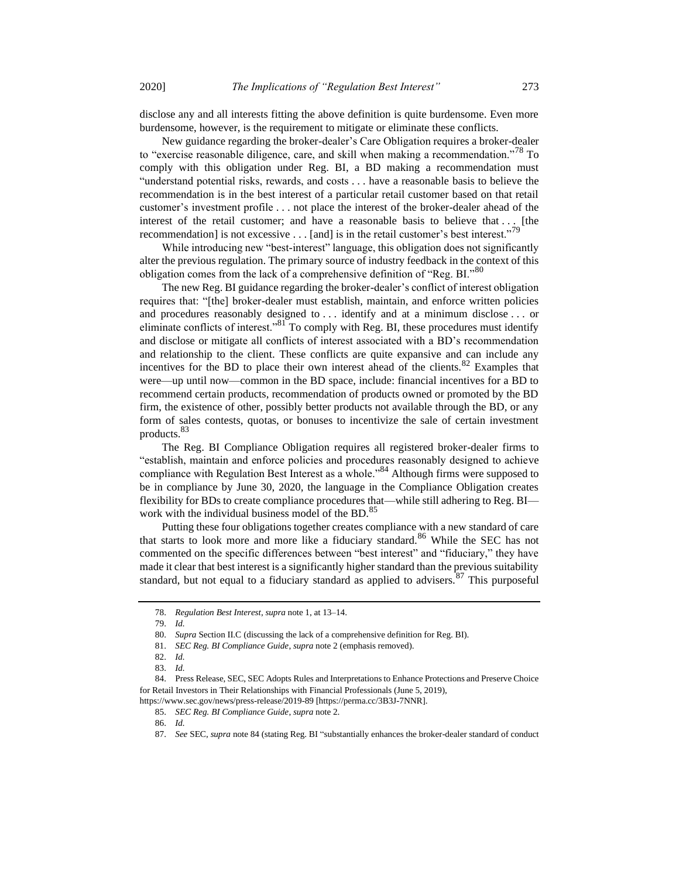disclose any and all interests fitting the above definition is quite burdensome. Even more burdensome, however, is the requirement to mitigate or eliminate these conflicts.

New guidance regarding the broker-dealer's Care Obligation requires a broker-dealer to "exercise reasonable diligence, care, and skill when making a recommendation."<sup>78</sup> To comply with this obligation under Reg. BI, a BD making a recommendation must "understand potential risks, rewards, and costs . . . have a reasonable basis to believe the recommendation is in the best interest of a particular retail customer based on that retail customer's investment profile . . . not place the interest of the broker-dealer ahead of the interest of the retail customer; and have a reasonable basis to believe that . . . [the recommendation] is not excessive  $\dots$  [and] is in the retail customer's best interest."<sup>79</sup>

While introducing new "best-interest" language, this obligation does not significantly alter the previous regulation. The primary source of industry feedback in the context of this obligation comes from the lack of a comprehensive definition of "Reg. BI."80

The new Reg. BI guidance regarding the broker-dealer's conflict of interest obligation requires that: "[the] broker-dealer must establish, maintain, and enforce written policies and procedures reasonably designed to . . . identify and at a minimum disclose . . . or eliminate conflicts of interest." $81^{\circ}$ To comply with Reg. BI, these procedures must identify and disclose or mitigate all conflicts of interest associated with a BD's recommendation and relationship to the client. These conflicts are quite expansive and can include any incentives for the BD to place their own interest ahead of the clients.<sup>82</sup> Examples that were—up until now—common in the BD space, include: financial incentives for a BD to recommend certain products, recommendation of products owned or promoted by the BD firm, the existence of other, possibly better products not available through the BD, or any form of sales contests, quotas, or bonuses to incentivize the sale of certain investment products.<sup>83</sup>

<span id="page-10-0"></span>The Reg. BI Compliance Obligation requires all registered broker-dealer firms to "establish, maintain and enforce policies and procedures reasonably designed to achieve compliance with Regulation Best Interest as a whole.<sup>84</sup> Although firms were supposed to be in compliance by June 30, 2020, the language in the Compliance Obligation creates flexibility for BDs to create compliance procedures that—while still adhering to Reg. BI work with the individual business model of the BD.<sup>85</sup>

Putting these four obligations together creates compliance with a new standard of care that starts to look more and more like a fiduciary standard.<sup>86</sup> While the SEC has not commented on the specific differences between "best interest" and "fiduciary," they have made it clear that best interest is a significantly higher standard than the previous suitability standard, but not equal to a fiduciary standard as applied to advisers.<sup>87</sup> This purposeful

https://www.sec.gov/news/press-release/2019-89 [https://perma.cc/3B3J-7NNR].

<sup>78.</sup> *Regulation Best Interest*, *supra* not[e 1,](#page-1-0) at 13–14.

<sup>79.</sup> *Id.*

<sup>80.</sup> *Supra* Section II.C (discussing the lack of a comprehensive definition for Reg. BI).

<sup>81.</sup> *SEC Reg. BI Compliance Guide*, *supra* not[e 2](#page-1-1) (emphasis removed).

<sup>82.</sup> *Id.*

<sup>83.</sup> *Id.*

<sup>84.</sup> Press Release, SEC, SEC Adopts Rules and Interpretations to Enhance Protections and Preserve Choice for Retail Investors in Their Relationships with Financial Professionals (June 5, 2019),

<sup>85.</sup> *SEC Reg. BI Compliance Guide*, *supra* not[e 2.](#page-1-1)

<sup>86.</sup> *Id.*

<sup>87.</sup> *See* SEC, *supra* note [84](#page-10-0) (stating Reg. BI "substantially enhances the broker-dealer standard of conduct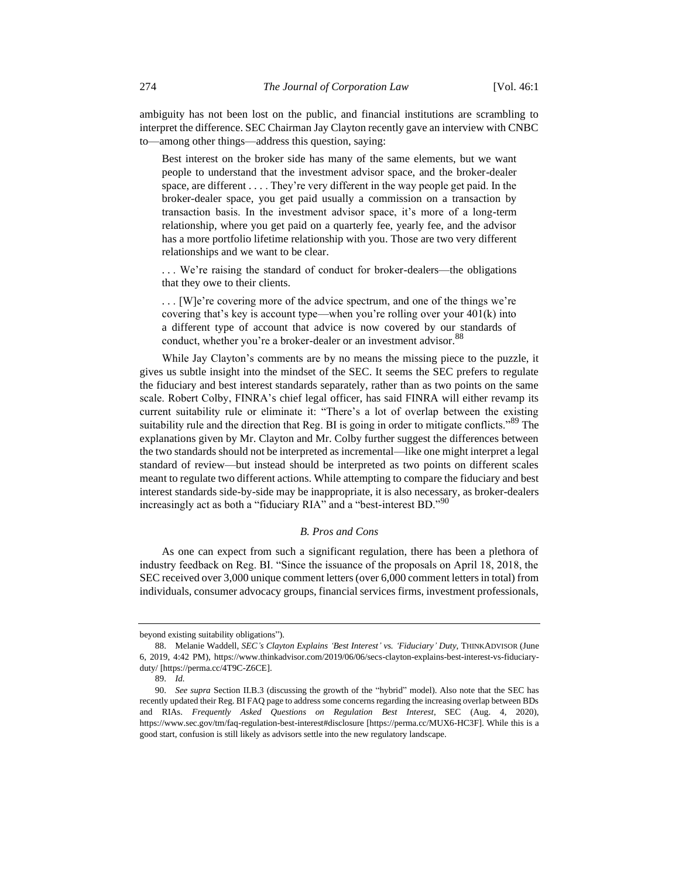ambiguity has not been lost on the public, and financial institutions are scrambling to interpret the difference. SEC Chairman Jay Clayton recently gave an interview with CNBC to—among other things—address this question, saying:

Best interest on the broker side has many of the same elements, but we want people to understand that the investment advisor space, and the broker-dealer space, are different . . . . They're very different in the way people get paid. In the broker-dealer space, you get paid usually a commission on a transaction by transaction basis. In the investment advisor space, it's more of a long-term relationship, where you get paid on a quarterly fee, yearly fee, and the advisor has a more portfolio lifetime relationship with you. Those are two very different relationships and we want to be clear.

. . . We're raising the standard of conduct for broker-dealers—the obligations that they owe to their clients.

. . . [W]e're covering more of the advice spectrum, and one of the things we're covering that's key is account type—when you're rolling over your 401(k) into a different type of account that advice is now covered by our standards of conduct, whether you're a broker-dealer or an investment advisor.<sup>88</sup>

While Jay Clayton's comments are by no means the missing piece to the puzzle, it gives us subtle insight into the mindset of the SEC. It seems the SEC prefers to regulate the fiduciary and best interest standards separately, rather than as two points on the same scale. Robert Colby, FINRA's chief legal officer, has said FINRA will either revamp its current suitability rule or eliminate it: "There's a lot of overlap between the existing suitability rule and the direction that Reg. BI is going in order to mitigate conflicts."<sup>89</sup> The explanations given by Mr. Clayton and Mr. Colby further suggest the differences between the two standards should not be interpreted as incremental—like one might interpret a legal standard of review—but instead should be interpreted as two points on different scales meant to regulate two different actions. While attempting to compare the fiduciary and best interest standards side-by-side may be inappropriate, it is also necessary, as broker-dealers increasingly act as both a "fiduciary RIA" and a "best-interest BD."<sup>90</sup>

#### <span id="page-11-0"></span>*B. Pros and Cons*

As one can expect from such a significant regulation, there has been a plethora of industry feedback on Reg. BI. "Since the issuance of the proposals on April 18, 2018, the SEC received over 3,000 unique comment letters (over 6,000 comment letters in total) from individuals, consumer advocacy groups, financial services firms, investment professionals,

beyond existing suitability obligations").

<sup>88.</sup> Melanie Waddell, *SEC's Clayton Explains 'Best Interest' vs. 'Fiduciary' Duty*, THINKADVISOR (June 6, 2019, 4:42 PM), https://www.thinkadvisor.com/2019/06/06/secs-clayton-explains-best-interest-vs-fiduciaryduty/ [https://perma.cc/4T9C-Z6CE].

<sup>89.</sup> *Id.* 

<sup>90.</sup> *See supra* Section II.B.3 (discussing the growth of the "hybrid" model). Also note that the SEC has recently updated their Reg. BI FAQ page to address some concerns regarding the increasing overlap between BDs and RIAs. *Frequently Asked Questions on Regulation Best Interest*, SEC (Aug. 4, 2020), https://www.sec.gov/tm/faq-regulation-best-interest#disclosure [https://perma.cc/MUX6-HC3F]. While this is a good start, confusion is still likely as advisors settle into the new regulatory landscape.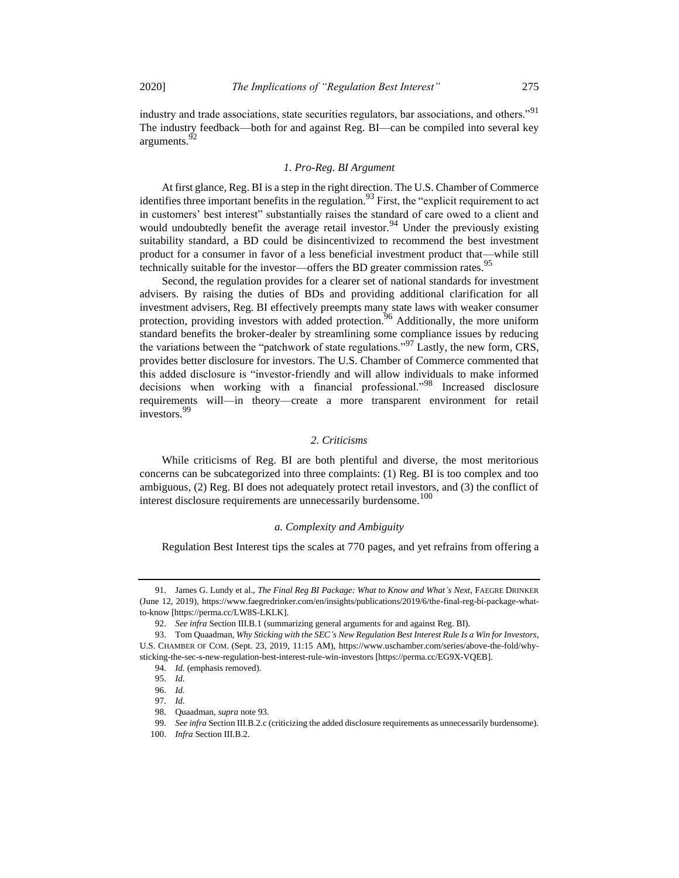industry and trade associations, state securities regulators, bar associations, and others."<sup>91</sup> The industry feedback—both for and against Reg. BI—can be compiled into several key arguments.<sup>92</sup>

# <span id="page-12-0"></span>*1. Pro-Reg. BI Argument*

At first glance, Reg. BI is a step in the right direction. The U.S. Chamber of Commerce identifies three important benefits in the regulation.<sup>93</sup> First, the "explicit requirement to act in customers' best interest" substantially raises the standard of care owed to a client and would undoubtedly benefit the average retail investor.<sup>94</sup> Under the previously existing suitability standard, a BD could be disincentivized to recommend the best investment product for a consumer in favor of a less beneficial investment product that—while still technically suitable for the investor—offers the BD greater commission rates.<sup>95</sup>

Second, the regulation provides for a clearer set of national standards for investment advisers. By raising the duties of BDs and providing additional clarification for all investment advisers, Reg. BI effectively preempts many state laws with weaker consumer protection, providing investors with added protection.<sup>96</sup> Additionally, the more uniform standard benefits the broker-dealer by streamlining some compliance issues by reducing the variations between the "patchwork of state regulations."<sup>97</sup> Lastly, the new form, CRS, provides better disclosure for investors. The U.S. Chamber of Commerce commented that this added disclosure is "investor-friendly and will allow individuals to make informed decisions when working with a financial professional."<sup>98</sup> Increased disclosure requirements will—in theory—create a more transparent environment for retail investors.<sup>99</sup>

# *2. Criticisms*

While criticisms of Reg. BI are both plentiful and diverse, the most meritorious concerns can be subcategorized into three complaints: (1) Reg. BI is too complex and too ambiguous, (2) Reg. BI does not adequately protect retail investors, and (3) the conflict of interest disclosure requirements are unnecessarily burdensome.<sup>100</sup>

# *a. Complexity and Ambiguity*

Regulation Best Interest tips the scales at 770 pages, and yet refrains from offering a

<sup>91.</sup> James G. Lundy et al., *The Final Reg BI Package: What to Know and What's Next*, FAEGRE DRINKER (June 12, 2019), https://www.faegredrinker.com/en/insights/publications/2019/6/the-final-reg-bi-package-whatto-know [https://perma.cc/LW8S-LKLK].

<sup>92.</sup> *See infra* Section III.B.1 (summarizing general arguments for and against Reg. BI).

<sup>93.</sup> Tom Quaadman, *Why Sticking with the SEC's New Regulation Best Interest Rule Is a Win for Investors*, U.S. CHAMBER OF COM. (Sept. 23, 2019, 11:15 AM), https://www.uschamber.com/series/above-the-fold/whysticking-the-sec-s-new-regulation-best-interest-rule-win-investors [https://perma.cc/EG9X-VQEB].

<sup>94.</sup> *Id.* (emphasis removed).

<sup>95.</sup> *Id.*

<sup>96.</sup> *Id.*

<sup>97.</sup> *Id.* 

<sup>98.</sup> Quaadman, *supra* not[e 93](#page-12-0)*.*

<sup>99.</sup> *See infra* Section III.B.2.c (criticizing the added disclosure requirements as unnecessarily burdensome).

<sup>100.</sup> *Infra* Section III.B.2.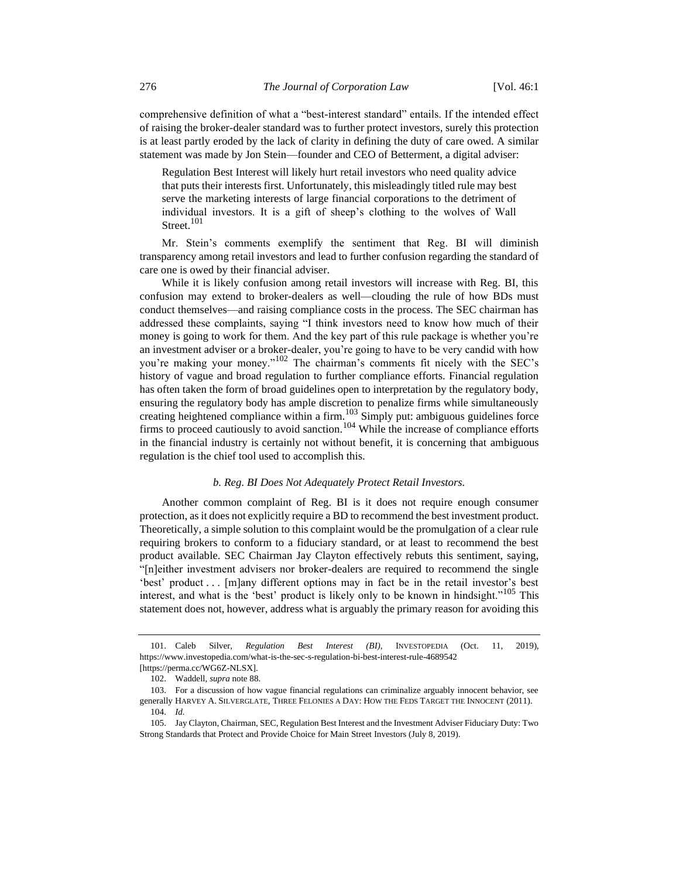comprehensive definition of what a "best-interest standard" entails. If the intended effect of raising the broker-dealer standard was to further protect investors, surely this protection is at least partly eroded by the lack of clarity in defining the duty of care owed. A similar statement was made by Jon Stein—founder and CEO of Betterment, a digital adviser:

Regulation Best Interest will likely hurt retail investors who need quality advice that puts their interests first. Unfortunately, this misleadingly titled rule may best serve the marketing interests of large financial corporations to the detriment of individual investors. It is a gift of sheep's clothing to the wolves of Wall Street.<sup>101</sup>

Mr. Stein's comments exemplify the sentiment that Reg. BI will diminish transparency among retail investors and lead to further confusion regarding the standard of care one is owed by their financial adviser.

While it is likely confusion among retail investors will increase with Reg. BI, this confusion may extend to broker-dealers as well—clouding the rule of how BDs must conduct themselves—and raising compliance costs in the process. The SEC chairman has addressed these complaints, saying "I think investors need to know how much of their money is going to work for them. And the key part of this rule package is whether you're an investment adviser or a broker-dealer, you're going to have to be very candid with how you're making your money."<sup>102</sup> The chairman's comments fit nicely with the SEC's history of vague and broad regulation to further compliance efforts. Financial regulation has often taken the form of broad guidelines open to interpretation by the regulatory body, ensuring the regulatory body has ample discretion to penalize firms while simultaneously creating heightened compliance within a firm. $^{103}$  Simply put: ambiguous guidelines force firms to proceed cautiously to avoid sanction.<sup>104</sup> While the increase of compliance efforts in the financial industry is certainly not without benefit, it is concerning that ambiguous regulation is the chief tool used to accomplish this.

# *b. Reg. BI Does Not Adequately Protect Retail Investors.*

Another common complaint of Reg. BI is it does not require enough consumer protection, as it does not explicitly require a BD to recommend the best investment product. Theoretically, a simple solution to this complaint would be the promulgation of a clear rule requiring brokers to conform to a fiduciary standard, or at least to recommend the best product available. SEC Chairman Jay Clayton effectively rebuts this sentiment, saying, "[n]either investment advisers nor broker-dealers are required to recommend the single 'best' product . . . [m]any different options may in fact be in the retail investor's best interest, and what is the 'best' product is likely only to be known in hindsight."<sup>105</sup> This statement does not, however, address what is arguably the primary reason for avoiding this

<sup>101.</sup> Caleb Silver, *Regulation Best Interest (BI)*, INVESTOPEDIA (Oct. 11, 2019), https://www.investopedia.com/what-is-the-sec-s-regulation-bi-best-interest-rule-4689542 [https://perma.cc/WG6Z-NLSX].

<sup>102.</sup> Waddell, *supra* not[e 88.](#page-11-0)

<sup>103.</sup> For a discussion of how vague financial regulations can criminalize arguably innocent behavior, see generally HARVEY A. SILVERGLATE, THREE FELONIES A DAY: HOW THE FEDS TARGET THE INNOCENT (2011). 104. *Id.*

<sup>105.</sup> Jay Clayton, Chairman, SEC, Regulation Best Interest and the Investment Adviser Fiduciary Duty: Two Strong Standards that Protect and Provide Choice for Main Street Investors (July 8, 2019).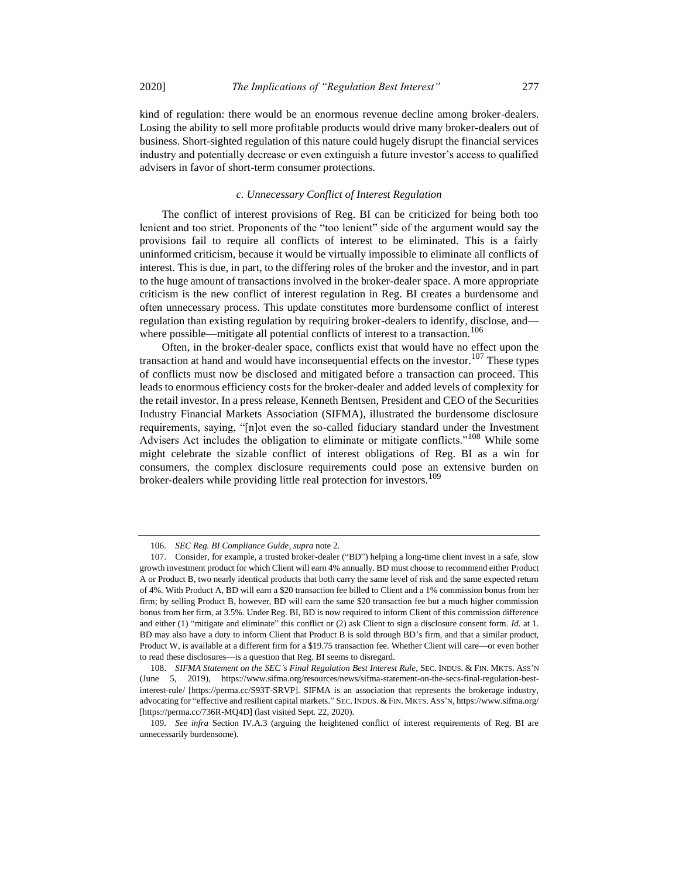kind of regulation: there would be an enormous revenue decline among broker-dealers. Losing the ability to sell more profitable products would drive many broker-dealers out of business. Short-sighted regulation of this nature could hugely disrupt the financial services industry and potentially decrease or even extinguish a future investor's access to qualified advisers in favor of short-term consumer protections.

# <span id="page-14-0"></span>*c. Unnecessary Conflict of Interest Regulation*

The conflict of interest provisions of Reg. BI can be criticized for being both too lenient and too strict. Proponents of the "too lenient" side of the argument would say the provisions fail to require all conflicts of interest to be eliminated. This is a fairly uninformed criticism, because it would be virtually impossible to eliminate all conflicts of interest. This is due, in part, to the differing roles of the broker and the investor, and in part to the huge amount of transactions involved in the broker-dealer space. A more appropriate criticism is the new conflict of interest regulation in Reg. BI creates a burdensome and often unnecessary process. This update constitutes more burdensome conflict of interest regulation than existing regulation by requiring broker-dealers to identify, disclose, and where possible—mitigate all potential conflicts of interest to a transaction.<sup>106</sup>

Often, in the broker-dealer space, conflicts exist that would have no effect upon the transaction at hand and would have inconsequential effects on the investor.<sup>107</sup> These types of conflicts must now be disclosed and mitigated before a transaction can proceed. This leads to enormous efficiency costs for the broker-dealer and added levels of complexity for the retail investor. In a press release, Kenneth Bentsen, President and CEO of the Securities Industry Financial Markets Association (SIFMA), illustrated the burdensome disclosure requirements, saying, "[n]ot even the so-called fiduciary standard under the Investment Advisers Act includes the obligation to eliminate or mitigate conflicts."<sup>108</sup> While some might celebrate the sizable conflict of interest obligations of Reg. BI as a win for consumers, the complex disclosure requirements could pose an extensive burden on broker-dealers while providing little real protection for investors.<sup>109</sup>

<sup>106.</sup> *SEC Reg. BI Compliance Guide*, *supra* not[e 2.](#page-1-1) 

<sup>107.</sup> Consider, for example, a trusted broker-dealer ("BD") helping a long-time client invest in a safe, slow growth investment product for which Client will earn 4% annually. BD must choose to recommend either Product A or Product B, two nearly identical products that both carry the same level of risk and the same expected return of 4%. With Product A, BD will earn a \$20 transaction fee billed to Client and a 1% commission bonus from her firm; by selling Product B, however, BD will earn the same \$20 transaction fee but a much higher commission bonus from her firm, at 3.5%. Under Reg. BI, BD is now required to inform Client of this commission difference and either (1) "mitigate and eliminate" this conflict or (2) ask Client to sign a disclosure consent form. *Id.* at 1. BD may also have a duty to inform Client that Product B is sold through BD's firm, and that a similar product, Product W, is available at a different firm for a \$19.75 transaction fee. Whether Client will care—or even bother to read these disclosures—is a question that Reg. BI seems to disregard.

<sup>108.</sup> *SIFMA Statement on the SEC's Final Regulation Best Interest Rule*, SEC. INDUS. & FIN. MKTS. ASS'N (June 5, 2019), https://www.sifma.org/resources/news/sifma-statement-on-the-secs-final-regulation-bestinterest-rule/ [https://perma.cc/S93T-SRVP]. SIFMA is an association that represents the brokerage industry, advocating for "effective and resilient capital markets." SEC. INDUS. & FIN. MKTS. ASS'N, https://www.sifma.org/ [https://perma.cc/736R-MQ4D] (last visited Sept. 22, 2020).

<sup>109.</sup> *See infra* Section IV.A.3 (arguing the heightened conflict of interest requirements of Reg. BI are unnecessarily burdensome).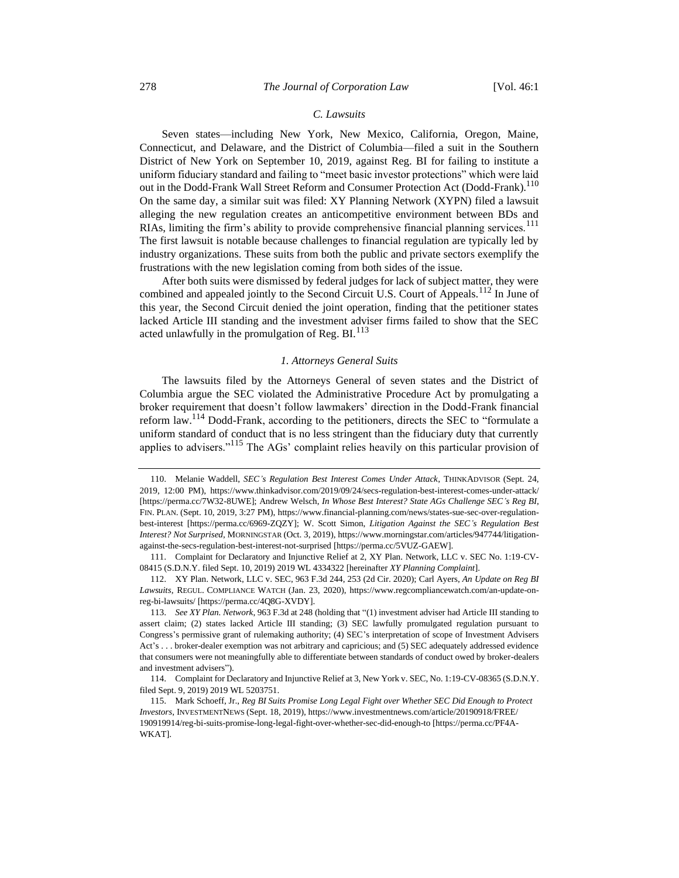# <span id="page-15-2"></span><span id="page-15-1"></span>*C. Lawsuits*

Seven states—including New York, New Mexico, California, Oregon, Maine, Connecticut, and Delaware, and the District of Columbia—filed a suit in the Southern District of New York on September 10, 2019, against Reg. BI for failing to institute a uniform fiduciary standard and failing to "meet basic investor protections" which were laid out in the Dodd-Frank Wall Street Reform and Consumer Protection Act (Dodd-Frank).<sup>110</sup> On the same day, a similar suit was filed: XY Planning Network (XYPN) filed a lawsuit alleging the new regulation creates an anticompetitive environment between BDs and RIAs, limiting the firm's ability to provide comprehensive financial planning services.<sup>111</sup> The first lawsuit is notable because challenges to financial regulation are typically led by industry organizations. These suits from both the public and private sectors exemplify the frustrations with the new legislation coming from both sides of the issue.

After both suits were dismissed by federal judges for lack of subject matter, they were combined and appealed jointly to the Second Circuit U.S. Court of Appeals.<sup>112</sup> In June of this year, the Second Circuit denied the joint operation, finding that the petitioner states lacked Article III standing and the investment adviser firms failed to show that the SEC acted unlawfully in the promulgation of Reg.  $BL^{113}$ 

# *1. Attorneys General Suits*

<span id="page-15-0"></span>The lawsuits filed by the Attorneys General of seven states and the District of Columbia argue the SEC violated the Administrative Procedure Act by promulgating a broker requirement that doesn't follow lawmakers' direction in the Dodd-Frank financial reform law.<sup>114</sup> Dodd-Frank, according to the petitioners, directs the SEC to "formulate a uniform standard of conduct that is no less stringent than the fiduciary duty that currently applies to advisers."<sup>115</sup> The AGs' complaint relies heavily on this particular provision of

<span id="page-15-3"></span><sup>110.</sup> Melanie Waddell, *SEC's Regulation Best Interest Comes Under Attack*, THINKADVISOR (Sept. 24, 2019, 12:00 PM), https://www.thinkadvisor.com/2019/09/24/secs-regulation-best-interest-comes-under-attack/ [https://perma.cc/7W32-8UWE]; Andrew Welsch, *In Whose Best Interest? State AGs Challenge SEC's Reg BI*, FIN. PLAN. (Sept. 10, 2019, 3:27 PM), https://www.financial-planning.com/news/states-sue-sec-over-regulationbest-interest [https://perma.cc/6969-ZQZY]; W. Scott Simon, *Litigation Against the SEC's Regulation Best Interest? Not Surprised*, MORNINGSTAR (Oct. 3, 2019), https://www.morningstar.com/articles/947744/litigationagainst-the-secs-regulation-best-interest-not-surprised [https://perma.cc/5VUZ-GAEW].

<sup>111.</sup> Complaint for Declaratory and Injunctive Relief at 2, XY Plan. Network, LLC v. SEC No. 1:19-CV-08415 (S.D.N.Y. filed Sept. 10, 2019) 2019 WL 4334322 [hereinafter *XY Planning Complaint*].

<sup>112.</sup> XY Plan. Network, LLC v. SEC, 963 F.3d 244, 253 (2d Cir. 2020); Carl Ayers, *An Update on Reg BI Lawsuits*, REGUL. COMPLIANCE WATCH (Jan. 23, 2020), https://www.regcompliancewatch.com/an-update-onreg-bi-lawsuits/ [https://perma.cc/4Q8G-XVDY].

<sup>113.</sup> *See XY Plan. Network*, 963 F.3d at 248 (holding that "(1) investment adviser had Article III standing to assert claim; (2) states lacked Article III standing; (3) SEC lawfully promulgated regulation pursuant to Congress's permissive grant of rulemaking authority; (4) SEC's interpretation of scope of Investment Advisers Act's . . . broker-dealer exemption was not arbitrary and capricious; and (5) SEC adequately addressed evidence that consumers were not meaningfully able to differentiate between standards of conduct owed by broker-dealers and investment advisers").

<sup>114.</sup> Complaint for Declaratory and Injunctive Relief at 3, New York v. SEC, No. 1:19-CV-08365 (S.D.N.Y. filed Sept. 9, 2019) 2019 WL 5203751.

<sup>115.</sup> Mark Schoeff, Jr., *Reg BI Suits Promise Long Legal Fight over Whether SEC Did Enough to Protect Investors*, INVESTMENTNEWS (Sept. 18, 2019), https://www.investmentnews.com/article/20190918/FREE/ 190919914/reg-bi-suits-promise-long-legal-fight-over-whether-sec-did-enough-to [https://perma.cc/PF4A-WKAT].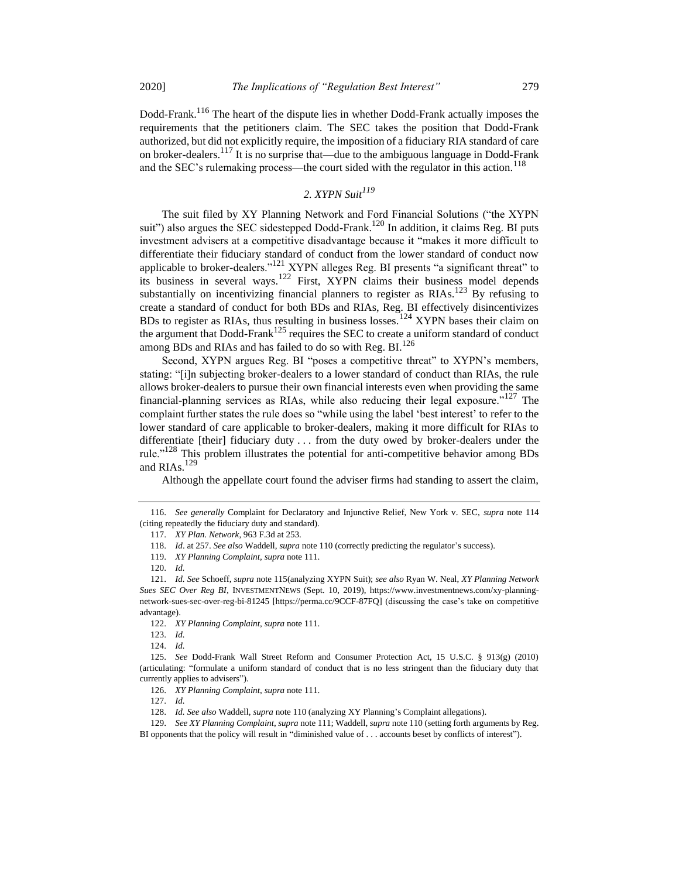Dodd-Frank.<sup>116</sup> The heart of the dispute lies in whether Dodd-Frank actually imposes the requirements that the petitioners claim. The SEC takes the position that Dodd-Frank authorized, but did not explicitly require, the imposition of a fiduciary RIA standard of care on broker-dealers.<sup>117</sup> It is no surprise that—due to the ambiguous language in Dodd-Frank and the SEC's rulemaking process—the court sided with the regulator in this action.<sup>118</sup>

# *2. XYPN Suit<sup>119</sup>*

The suit filed by XY Planning Network and Ford Financial Solutions ("the XYPN suit") also argues the SEC sidestepped Dodd-Frank.<sup>120</sup> In addition, it claims Reg. BI puts investment advisers at a competitive disadvantage because it "makes it more difficult to differentiate their fiduciary standard of conduct from the lower standard of conduct now applicable to broker-dealers."<sup>121</sup> XYPN alleges Reg. BI presents "a significant threat" to its business in several ways.<sup>122</sup> First, XYPN claims their business model depends substantially on incentivizing financial planners to register as  $RIAs$ .<sup>123</sup> By refusing to create a standard of conduct for both BDs and RIAs, Reg. BI effectively disincentivizes BDs to register as RIAs, thus resulting in business losses.<sup>124</sup> XYPN bases their claim on the argument that Dodd-Frank<sup>125</sup> requires the SEC to create a uniform standard of conduct among BDs and RIAs and has failed to do so with Reg. BI.<sup>126</sup>

Second, XYPN argues Reg. BI "poses a competitive threat" to XYPN's members, stating: "[i]n subjecting broker-dealers to a lower standard of conduct than RIAs, the rule allows broker-dealers to pursue their own financial interests even when providing the same financial-planning services as RIAs, while also reducing their legal exposure."<sup>127</sup> The complaint further states the rule does so "while using the label 'best interest' to refer to the lower standard of care applicable to broker-dealers, making it more difficult for RIAs to differentiate [their] fiduciary duty . . . from the duty owed by broker-dealers under the rule."<sup>128</sup> This problem illustrates the potential for anti-competitive behavior among BDs and RIAs. $^{129}$ 

Although the appellate court found the adviser firms had standing to assert the claim,

<sup>116.</sup> *See generally* Complaint for Declaratory and Injunctive Relief, New York v. SEC, *supra* note [114](#page-15-0) (citing repeatedly the fiduciary duty and standard).

<sup>117.</sup> *XY Plan. Network*, 963 F.3d at 253.

<sup>118.</sup> *Id*. at 257. *See also* Waddell, *supra* not[e 110](#page-15-1) (correctly predicting the regulator's success).

<sup>119.</sup> *XY Planning Complaint*, *supra* not[e 111.](#page-15-2)

<sup>120.</sup> *Id.*

<sup>121.</sup> *Id. See* Schoeff, *supra* not[e 115\(](#page-15-3)analyzing XYPN Suit); *see also* Ryan W. Neal, *XY Planning Network Sues SEC Over Reg BI*, INVESTMENTNEWS (Sept. 10, 2019), https://www.investmentnews.com/xy-planningnetwork-sues-sec-over-reg-bi-81245 [https://perma.cc/9CCF-87FQ] (discussing the case's take on competitive advantage).

<sup>122.</sup> *XY Planning Complaint*, *supra* not[e 111.](#page-15-2)

<sup>123.</sup> *Id.* 

<sup>124.</sup> *Id.* 

<sup>125.</sup> *See* Dodd-Frank Wall Street Reform and Consumer Protection Act, 15 U.S.C. § 913(g) (2010) (articulating: "formulate a uniform standard of conduct that is no less stringent than the fiduciary duty that currently applies to advisers").

<sup>126.</sup> *XY Planning Complaint*, *supra* not[e 111.](#page-15-2)

<sup>127.</sup> *Id.*

<sup>128.</sup> *Id. See also* Waddell, *supra* not[e 110](#page-15-1) (analyzing XY Planning's Complaint allegations).

<sup>129.</sup> *See XY Planning Complaint*, *supra* not[e 111;](#page-15-2) Waddell, *supra* not[e 110](#page-15-1) (setting forth arguments by Reg.

BI opponents that the policy will result in "diminished value of . . . accounts beset by conflicts of interest").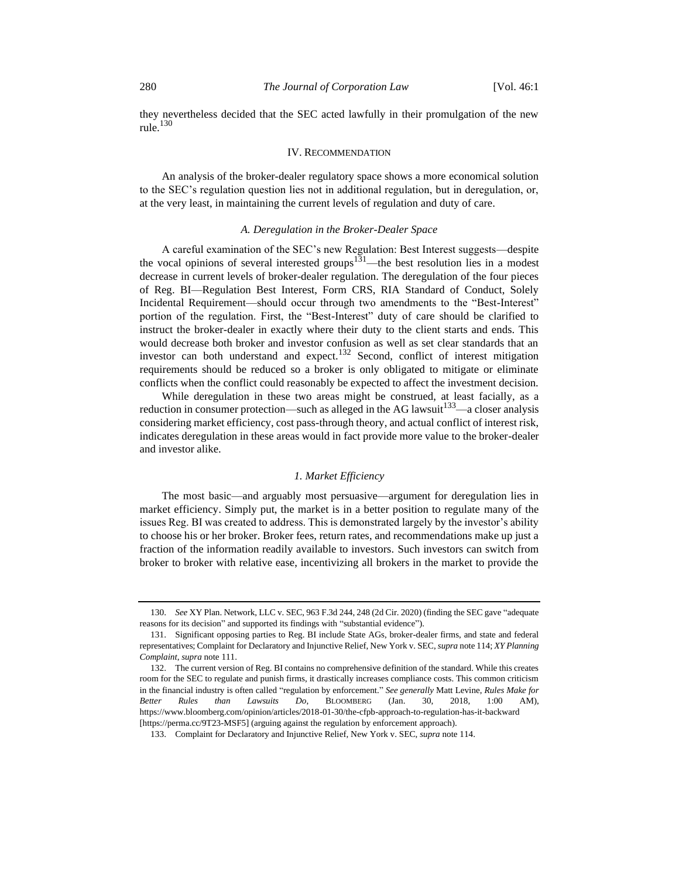they nevertheless decided that the SEC acted lawfully in their promulgation of the new rule. $130$ 

# IV. RECOMMENDATION

An analysis of the broker-dealer regulatory space shows a more economical solution to the SEC's regulation question lies not in additional regulation, but in deregulation, or, at the very least, in maintaining the current levels of regulation and duty of care.

# *A. Deregulation in the Broker-Dealer Space*

A careful examination of the SEC's new Regulation: Best Interest suggests—despite the vocal opinions of several interested groups<sup>131</sup>—the best resolution lies in a modest decrease in current levels of broker-dealer regulation. The deregulation of the four pieces of Reg. BI—Regulation Best Interest, Form CRS, RIA Standard of Conduct, Solely Incidental Requirement—should occur through two amendments to the "Best-Interest" portion of the regulation. First, the "Best-Interest" duty of care should be clarified to instruct the broker-dealer in exactly where their duty to the client starts and ends. This would decrease both broker and investor confusion as well as set clear standards that an investor can both understand and expect.<sup>132</sup> Second, conflict of interest mitigation requirements should be reduced so a broker is only obligated to mitigate or eliminate conflicts when the conflict could reasonably be expected to affect the investment decision.

While deregulation in these two areas might be construed, at least facially, as a reduction in consumer protection—such as alleged in the AG lawsuit<sup>133</sup>—a closer analysis considering market efficiency, cost pass-through theory, and actual conflict of interest risk, indicates deregulation in these areas would in fact provide more value to the broker-dealer and investor alike.

#### *1. Market Efficiency*

The most basic—and arguably most persuasive—argument for deregulation lies in market efficiency. Simply put, the market is in a better position to regulate many of the issues Reg. BI was created to address. This is demonstrated largely by the investor's ability to choose his or her broker. Broker fees, return rates, and recommendations make up just a fraction of the information readily available to investors. Such investors can switch from broker to broker with relative ease, incentivizing all brokers in the market to provide the

<sup>130.</sup> *See* XY Plan. Network, LLC v. SEC, 963 F.3d 244, 248 (2d Cir. 2020) (finding the SEC gave "adequate reasons for its decision" and supported its findings with "substantial evidence").

<sup>131.</sup> Significant opposing parties to Reg. BI include State AGs, broker-dealer firms, and state and federal representatives; Complaint for Declaratory and Injunctive Relief, New York v. SEC, *supra* not[e 114;](#page-15-0) *XY Planning Complaint*, *supra* note [111.](#page-15-2) 

<sup>132.</sup> The current version of Reg. BI contains no comprehensive definition of the standard. While this creates room for the SEC to regulate and punish firms, it drastically increases compliance costs. This common criticism in the financial industry is often called "regulation by enforcement." *See generally* Matt Levine, *Rules Make for Better Rules than Lawsuits Do*, BLOOMBERG (Jan. 30, 2018, 1:00 AM), https://www.bloomberg.com/opinion/articles/2018-01-30/the-cfpb-approach-to-regulation-has-it-backward [https://perma.cc/9T23-MSF5] (arguing against the regulation by enforcement approach).

<sup>133.</sup> Complaint for Declaratory and Injunctive Relief, New York v. SEC, *supra* not[e 114.](#page-15-0)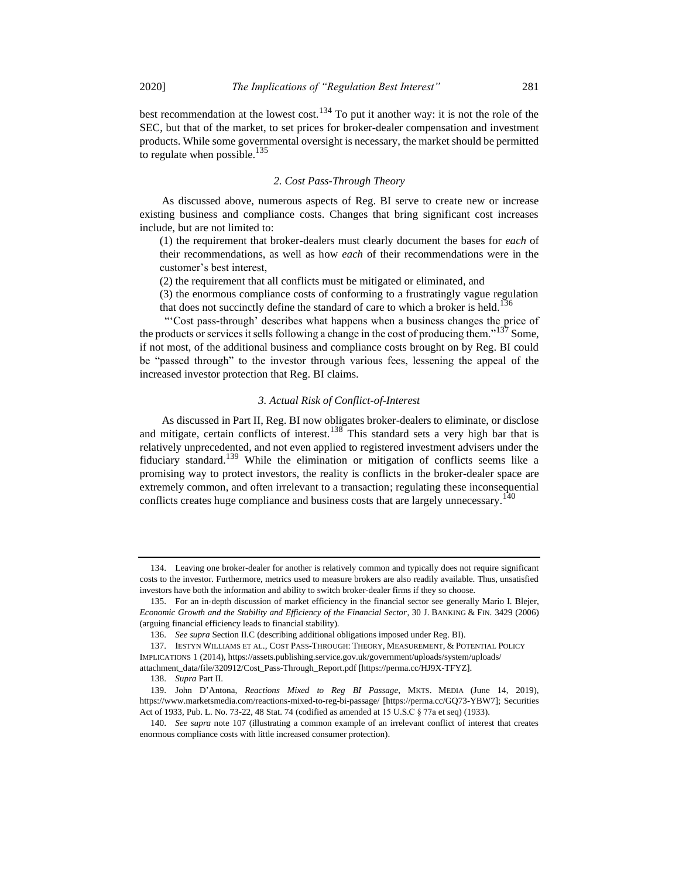best recommendation at the lowest cost.<sup>134</sup> To put it another way: it is not the role of the SEC, but that of the market, to set prices for broker-dealer compensation and investment products. While some governmental oversight is necessary, the market should be permitted to regulate when possible. $135$ 

# *2. Cost Pass-Through Theory*

As discussed above, numerous aspects of Reg. BI serve to create new or increase existing business and compliance costs. Changes that bring significant cost increases include, but are not limited to:

(1) the requirement that broker-dealers must clearly document the bases for *each* of their recommendations, as well as how *each* of their recommendations were in the customer's best interest,

(2) the requirement that all conflicts must be mitigated or eliminated, and

(3) the enormous compliance costs of conforming to a frustratingly vague regulation that does not succinctly define the standard of care to which a broker is held.<sup>136</sup>

"'Cost pass-through' describes what happens when a business changes the price of the products or services it sells following a change in the cost of producing them."<sup>137</sup> Some, if not most, of the additional business and compliance costs brought on by Reg. BI could be "passed through" to the investor through various fees, lessening the appeal of the increased investor protection that Reg. BI claims.

# *3. Actual Risk of Conflict-of-Interest*

As discussed in Part II, Reg. BI now obligates broker-dealers to eliminate, or disclose and mitigate, certain conflicts of interest.<sup>138</sup> This standard sets a very high bar that is relatively unprecedented, and not even applied to registered investment advisers under the fiduciary standard.<sup>139</sup> While the elimination or mitigation of conflicts seems like a promising way to protect investors, the reality is conflicts in the broker-dealer space are extremely common, and often irrelevant to a transaction; regulating these inconsequential conflicts creates huge compliance and business costs that are largely unnecessary.<sup>140</sup>

<sup>134.</sup> Leaving one broker-dealer for another is relatively common and typically does not require significant costs to the investor. Furthermore, metrics used to measure brokers are also readily available. Thus, unsatisfied investors have both the information and ability to switch broker-dealer firms if they so choose.

<sup>135.</sup> For an in-depth discussion of market efficiency in the financial sector see generally Mario I. Blejer, *Economic Growth and the Stability and Efficiency of the Financial Sector*, 30 J. BANKING & FIN. 3429 (2006) (arguing financial efficiency leads to financial stability).

<sup>136.</sup> *See supra* Section II.C (describing additional obligations imposed under Reg. BI).

<sup>137.</sup> IESTYN WILLIAMS ET AL., COST PASS-THROUGH: THEORY, MEASUREMENT, & POTENTIAL POLICY

IMPLICATIONS 1 (2014), https://assets.publishing.service.gov.uk/government/uploads/system/uploads/ attachment\_data/file/320912/Cost\_Pass-Through\_Report.pdf [https://perma.cc/HJ9X-TFYZ].

<sup>138.</sup> *Supra* Part II.

<sup>139.</sup> John D'Antona, *Reactions Mixed to Reg BI Passage*, MKTS. MEDIA (June 14, 2019), https://www.marketsmedia.com/reactions-mixed-to-reg-bi-passage/ [https://perma.cc/GQ73-YBW7]; Securities Act of 1933, Pub. L. No. 73-22, 48 Stat. 74 (codified as amended at 15 U.S.C § 77a et seq) (1933).

<sup>140.</sup> *See supra* note [107](#page-14-0) (illustrating a common example of an irrelevant conflict of interest that creates enormous compliance costs with little increased consumer protection).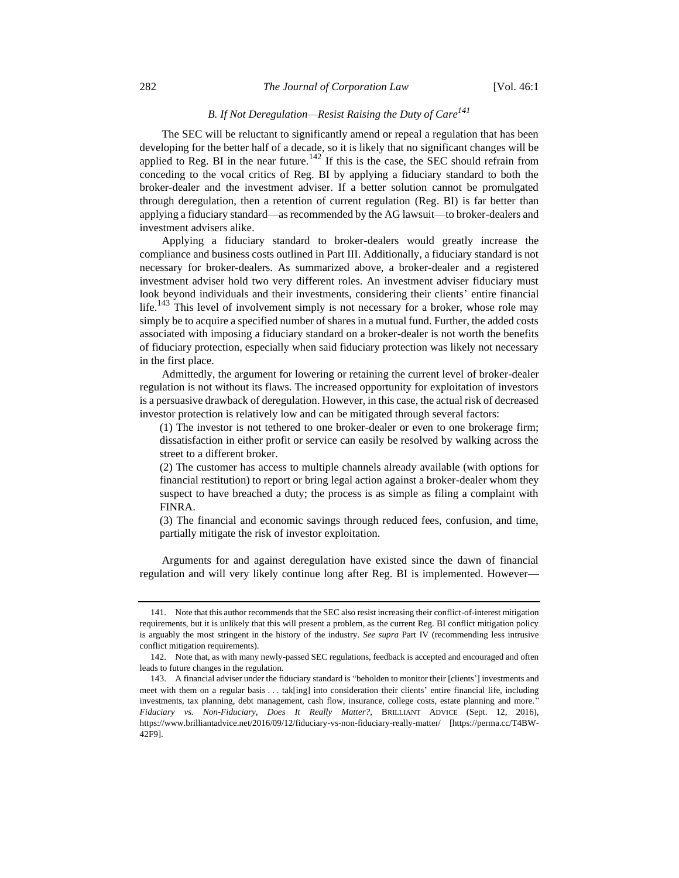# *B. If Not Deregulation—Resist Raising the Duty of Care<sup>141</sup>*

The SEC will be reluctant to significantly amend or repeal a regulation that has been developing for the better half of a decade, so it is likely that no significant changes will be applied to Reg. BI in the near future.<sup>142</sup> If this is the case, the SEC should refrain from conceding to the vocal critics of Reg. BI by applying a fiduciary standard to both the broker-dealer and the investment adviser. If a better solution cannot be promulgated through deregulation, then a retention of current regulation (Reg. BI) is far better than applying a fiduciary standard—as recommended by the AG lawsuit—to broker-dealers and investment advisers alike.

Applying a fiduciary standard to broker-dealers would greatly increase the compliance and business costs outlined in Part III. Additionally, a fiduciary standard is not necessary for broker-dealers. As summarized above, a broker-dealer and a registered investment adviser hold two very different roles. An investment adviser fiduciary must look beyond individuals and their investments, considering their clients' entire financial  $\text{life}$ .<sup>143</sup> This level of involvement simply is not necessary for a broker, whose role may simply be to acquire a specified number of shares in a mutual fund. Further, the added costs associated with imposing a fiduciary standard on a broker-dealer is not worth the benefits of fiduciary protection, especially when said fiduciary protection was likely not necessary in the first place.

Admittedly, the argument for lowering or retaining the current level of broker-dealer regulation is not without its flaws. The increased opportunity for exploitation of investors is a persuasive drawback of deregulation. However, in this case, the actual risk of decreased investor protection is relatively low and can be mitigated through several factors:

(1) The investor is not tethered to one broker-dealer or even to one brokerage firm; dissatisfaction in either profit or service can easily be resolved by walking across the street to a different broker.

(2) The customer has access to multiple channels already available (with options for financial restitution) to report or bring legal action against a broker-dealer whom they suspect to have breached a duty; the process is as simple as filing a complaint with FINRA.

(3) The financial and economic savings through reduced fees, confusion, and time, partially mitigate the risk of investor exploitation.

Arguments for and against deregulation have existed since the dawn of financial regulation and will very likely continue long after Reg. BI is implemented. However—

<sup>141.</sup> Note that this author recommends that the SEC also resist increasing their conflict-of-interest mitigation requirements, but it is unlikely that this will present a problem, as the current Reg. BI conflict mitigation policy is arguably the most stringent in the history of the industry. *See supra* Part IV (recommending less intrusive conflict mitigation requirements).

<sup>142.</sup> Note that, as with many newly-passed SEC regulations, feedback is accepted and encouraged and often leads to future changes in the regulation.

<sup>143.</sup> A financial adviser under the fiduciary standard is "beholden to monitor their [clients'] investments and meet with them on a regular basis . . . tak[ing] into consideration their clients' entire financial life, including investments, tax planning, debt management, cash flow, insurance, college costs, estate planning and more." *Fiduciary vs. Non-Fiduciary, Does It Really Matter?*, BRILLIANT ADVICE (Sept. 12, 2016), https://www.brilliantadvice.net/2016/09/12/fiduciary-vs-non-fiduciary-really-matter/ [https://perma.cc/T4BW-42F9].